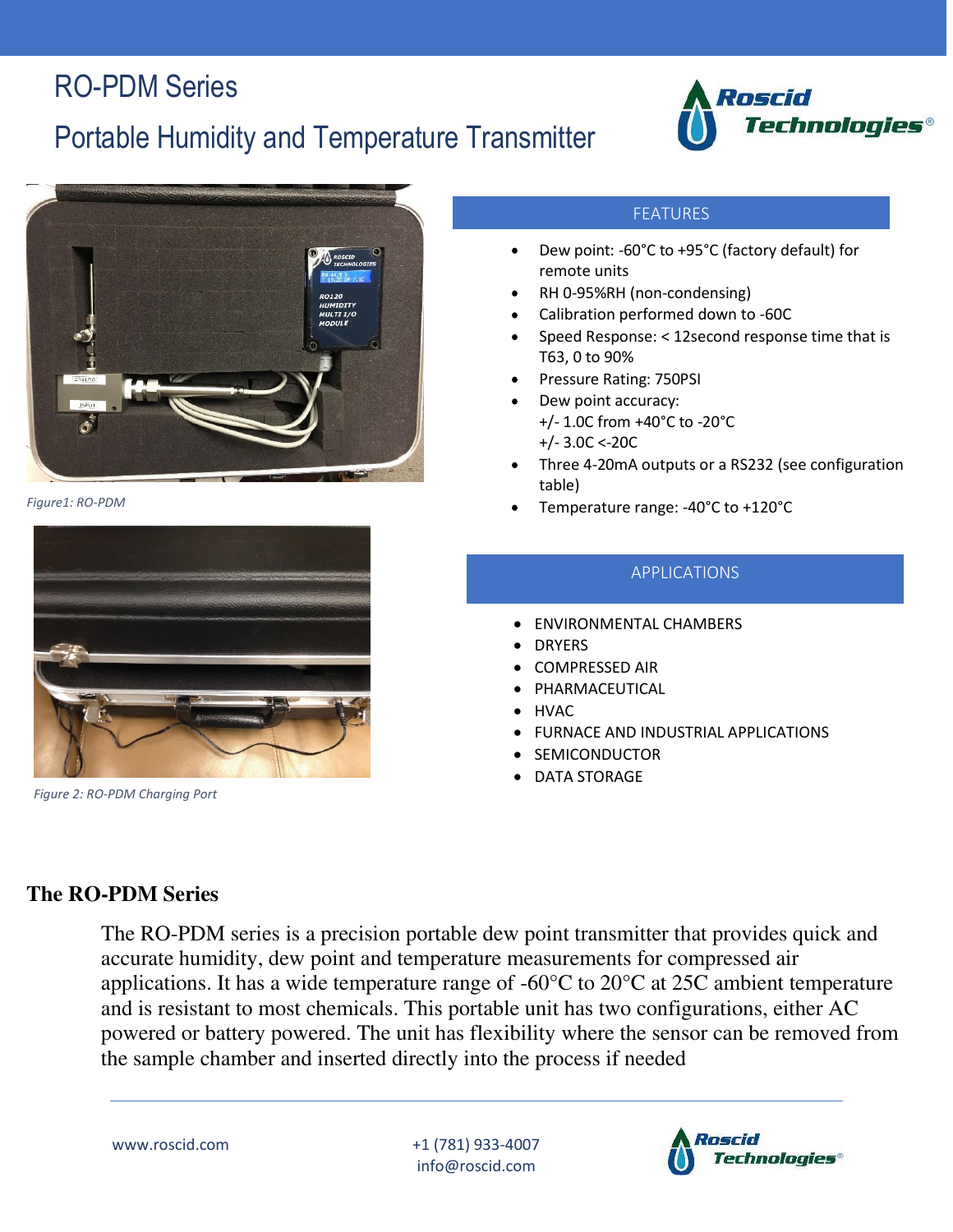## Portable Humidity and Temperature Transmitter







*Figure 2: RO-PDM Charging Port* 

#### FEATURES

- Dew point: -60°C to +95°C (factory default) for remote units
- RH 0-95%RH (non-condensing)
- Calibration performed down to -60C
- Speed Response: < 12second response time that is T63, 0 to 90%
- Pressure Rating: 750PSI
- Dew point accuracy: +/- 1.0C from +40°C to -20°C +/- 3.0C <-20C
- Three 4-20mA outputs or a RS232 (see configuration table)
- Figure1: RO-PDM **Figure1: RO-PDM Figure1: RO-PDM CONSUMING**  $\bullet$  **Temperature range: -40°C to +120°C**

#### APPLICATIONS

- ENVIRONMENTAL CHAMBERS
- DRYERS
- COMPRESSED AIR
- **PHARMACEUTICAL**
- HVAC
- FURNACE AND INDUSTRIAL APPLICATIONS
- **SEMICONDUCTOR**
- DATA STORAGE

#### **The RO-PDM Series**

 The RO-PDM series is a precision portable dew point transmitter that provides quick and accurate humidity, dew point and temperature measurements for compressed air applications. It has a wide temperature range of -60°C to 20°C at 25C ambient temperature and is resistant to most chemicals. This portable unit has two configurations, either AC powered or battery powered. The unit has flexibility where the sensor can be removed from the sample chamber and inserted directly into the process if needed

www.roscid.com +1 (781) 933-4007 info@roscid.com

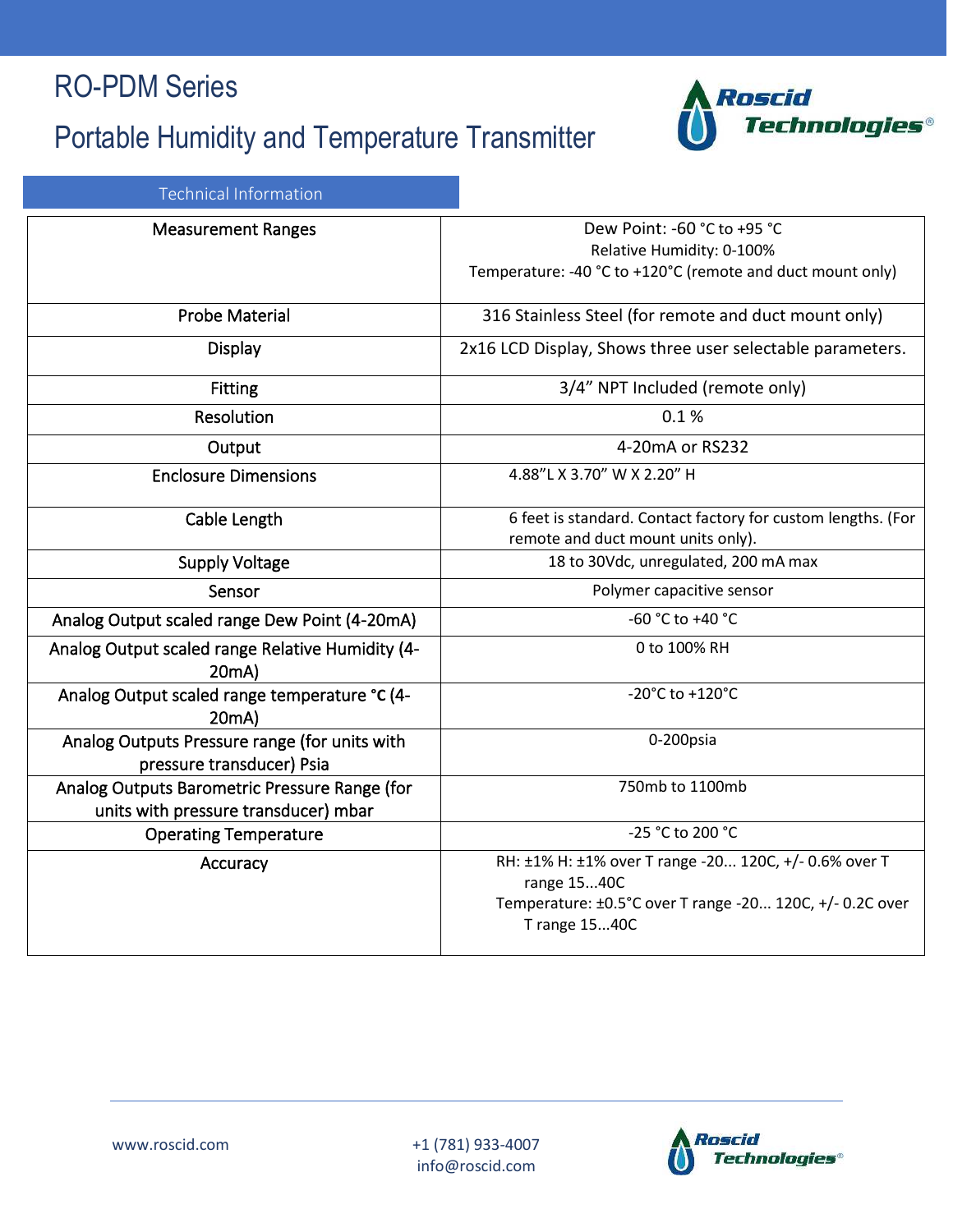# Portable Humidity and Temperature Transmitter



|  | Technical Information |
|--|-----------------------|
|  |                       |
|  |                       |

| <b>Measurement Ranges</b>                                                             | Dew Point: -60 °C to +95 °C<br>Relative Humidity: 0-100%<br>Temperature: -40 °C to +120°C (remote and duct mount only)                            |  |
|---------------------------------------------------------------------------------------|---------------------------------------------------------------------------------------------------------------------------------------------------|--|
| <b>Probe Material</b>                                                                 | 316 Stainless Steel (for remote and duct mount only)                                                                                              |  |
| <b>Display</b>                                                                        | 2x16 LCD Display, Shows three user selectable parameters.                                                                                         |  |
| <b>Fitting</b>                                                                        | 3/4" NPT Included (remote only)                                                                                                                   |  |
| Resolution                                                                            | 0.1%                                                                                                                                              |  |
| Output                                                                                | 4-20mA or RS232                                                                                                                                   |  |
| <b>Enclosure Dimensions</b>                                                           | 4.88"L X 3.70" W X 2.20" H                                                                                                                        |  |
| Cable Length                                                                          | 6 feet is standard. Contact factory for custom lengths. (For<br>remote and duct mount units only).                                                |  |
| <b>Supply Voltage</b>                                                                 | 18 to 30Vdc, unregulated, 200 mA max                                                                                                              |  |
| Sensor                                                                                | Polymer capacitive sensor                                                                                                                         |  |
| Analog Output scaled range Dew Point (4-20mA)                                         | -60 °C to +40 °C                                                                                                                                  |  |
| Analog Output scaled range Relative Humidity (4-<br>20mA)                             | 0 to 100% RH                                                                                                                                      |  |
| Analog Output scaled range temperature °C (4-<br>20mA)                                | -20°C to +120°C                                                                                                                                   |  |
| Analog Outputs Pressure range (for units with<br>pressure transducer) Psia            | 0-200psia                                                                                                                                         |  |
| Analog Outputs Barometric Pressure Range (for<br>units with pressure transducer) mbar | 750mb to 1100mb                                                                                                                                   |  |
| <b>Operating Temperature</b>                                                          | -25 °C to 200 °C                                                                                                                                  |  |
| Accuracy                                                                              | RH: ±1% H: ±1% over T range -20 120C, +/- 0.6% over T<br>range 1540C<br>Temperature: ±0.5°C over T range -20 120C, +/- 0.2C over<br>T range 1540C |  |

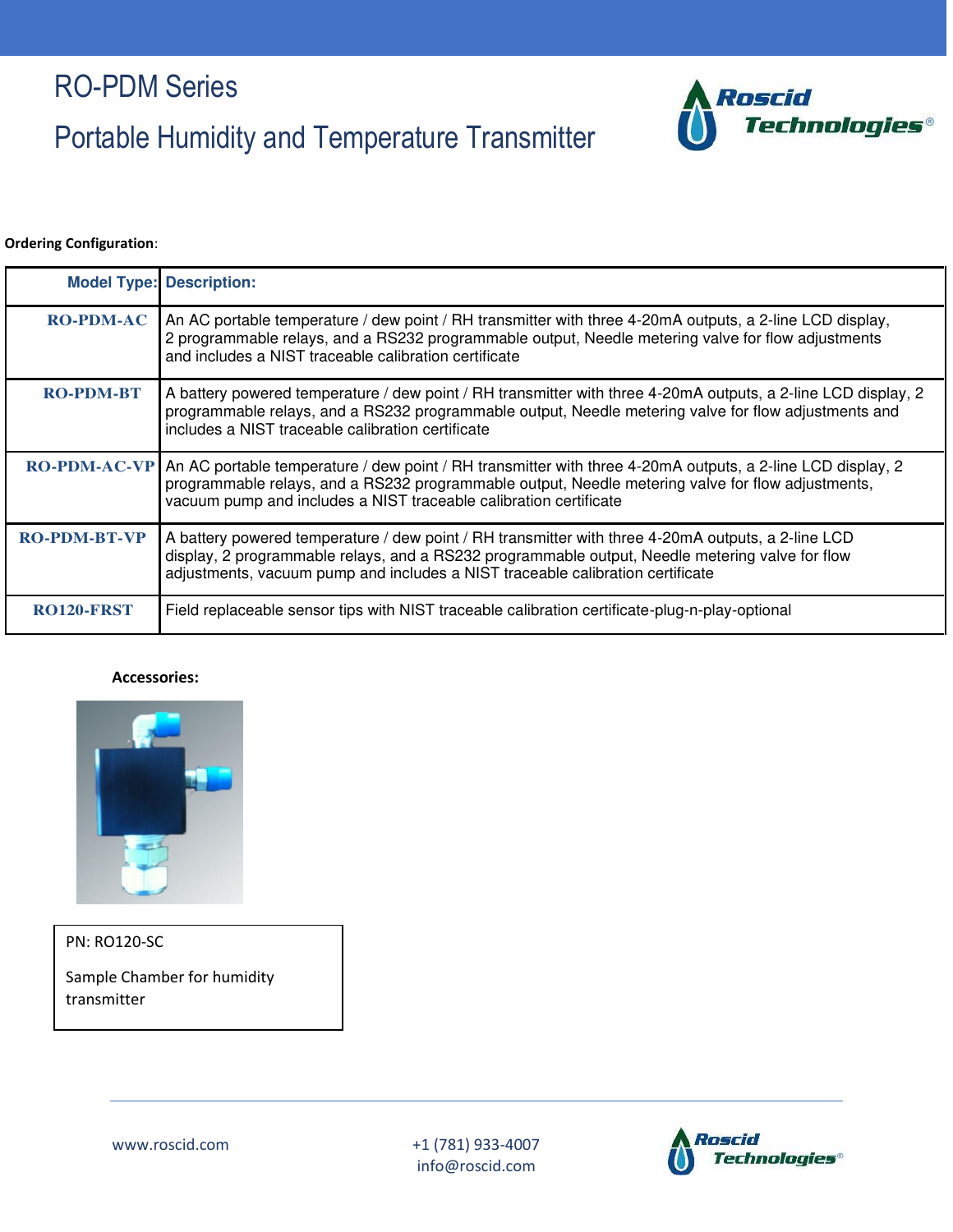# Portable Humidity and Temperature Transmitter



#### **Ordering Configuration**:

|                     | <b>Model Type: Description:</b>                                                                                                                                                                                                                                                         |
|---------------------|-----------------------------------------------------------------------------------------------------------------------------------------------------------------------------------------------------------------------------------------------------------------------------------------|
| <b>RO-PDM-AC</b>    | An AC portable temperature / dew point / RH transmitter with three 4-20mA outputs, a 2-line LCD display,<br>2 programmable relays, and a RS232 programmable output, Needle metering valve for flow adjustments<br>and includes a NIST traceable calibration certificate                 |
| <b>RO-PDM-BT</b>    | A battery powered temperature / dew point / RH transmitter with three 4-20mA outputs, a 2-line LCD display, 2<br>programmable relays, and a RS232 programmable output, Needle metering valve for flow adjustments and<br>includes a NIST traceable calibration certificate              |
| <b>RO-PDM-AC-VP</b> | An AC portable temperature / dew point / RH transmitter with three 4-20mA outputs, a 2-line LCD display, 2<br>programmable relays, and a RS232 programmable output, Needle metering valve for flow adjustments,<br>vacuum pump and includes a NIST traceable calibration certificate    |
| <b>RO-PDM-BT-VP</b> | A battery powered temperature / dew point / RH transmitter with three 4-20mA outputs, a 2-line LCD<br>display, 2 programmable relays, and a RS232 programmable output, Needle metering valve for flow<br>adjustments, vacuum pump and includes a NIST traceable calibration certificate |
| <b>RO120-FRST</b>   | Field replaceable sensor tips with NIST traceable calibration certificate-plug-n-play-optional                                                                                                                                                                                          |

#### **Accessories:**



PN: RO120-SC

Sample Chamber for humidity transmitter

www.roscid.com +1 (781) 933-4007 info@roscid.com